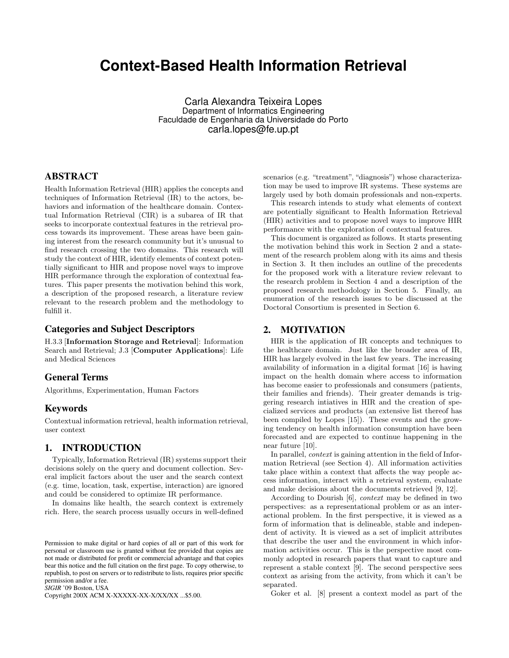# **Context-Based Health Information Retrieval**

Carla Alexandra Teixeira Lopes Department of Informatics Engineering Faculdade de Engenharia da Universidade do Porto carla.lopes@fe.up.pt

# ABSTRACT

Health Information Retrieval (HIR) applies the concepts and techniques of Information Retrieval (IR) to the actors, behaviors and information of the healthcare domain. Contextual Information Retrieval (CIR) is a subarea of IR that seeks to incorporate contextual features in the retrieval process towards its improvement. These areas have been gaining interest from the research community but it's unusual to find research crossing the two domains. This research will study the context of HIR, identify elements of context potentially significant to HIR and propose novel ways to improve HIR performance through the exploration of contextual features. This paper presents the motivation behind this work, a description of the proposed research, a literature review relevant to the research problem and the methodology to fulfill it.

## Categories and Subject Descriptors

H.3.3 [Information Storage and Retrieval]: Information Search and Retrieval; J.3 [Computer Applications]: Life and Medical Sciences

## General Terms

Algorithms, Experimentation, Human Factors

# Keywords

Contextual information retrieval, health information retrieval, user context

# 1. INTRODUCTION

Typically, Information Retrieval (IR) systems support their decisions solely on the query and document collection. Several implicit factors about the user and the search context (e.g. time, location, task, expertise, interaction) are ignored and could be considered to optimize IR performance.

In domains like health, the search context is extremely rich. Here, the search process usually occurs in well-defined

*SIGIR* '09 Boston, USA

Copyright 200X ACM X-XXXXX-XX-X/XX/XX ...\$5.00.

scenarios (e.g. "treatment", "diagnosis") whose characterization may be used to improve IR systems. These systems are largely used by both domain professionals and non-experts.

This research intends to study what elements of context are potentially significant to Health Information Retrieval (HIR) activities and to propose novel ways to improve HIR performance with the exploration of contextual features.

This document is organized as follows. It starts presenting the motivation behind this work in Section 2 and a statement of the research problem along with its aims and thesis in Section 3. It then includes an outline of the precedents for the proposed work with a literature review relevant to the research problem in Section 4 and a description of the proposed research methodology in Section 5. Finally, an enumeration of the research issues to be discussed at the Doctoral Consortium is presented in Section 6.

#### 2. MOTIVATION

HIR is the application of IR concepts and techniques to the healthcare domain. Just like the broader area of IR, HIR has largely evolved in the last few years. The increasing availability of information in a digital format [16] is having impact on the health domain where access to information has become easier to professionals and consumers (patients, their families and friends). Their greater demands is triggering research intiatives in HIR and the creation of specialized services and products (an extensive list thereof has been compiled by Lopes [15]). These events and the growing tendency on health information consumption have been forecasted and are expected to continue happening in the near future [10].

In parallel, *context* is gaining attention in the field of Information Retrieval (see Section 4). All information activities take place within a context that affects the way people access information, interact with a retrieval system, evaluate and make decisions about the documents retrieved [9, 12].

According to Dourish [6], context may be defined in two perspectives: as a representational problem or as an interactional problem. In the first perspective, it is viewed as a form of information that is delineable, stable and independent of activity. It is viewed as a set of implicit attributes that describe the user and the environment in which information activities occur. This is the perspective most commonly adopted in research papers that want to capture and represent a stable context [9]. The second perspective sees context as arising from the activity, from which it can't be separated.

Goker et al. [8] present a context model as part of the

Permission to make digital or hard copies of all or part of this work for personal or classroom use is granted without fee provided that copies are not made or distributed for profit or commercial advantage and that copies bear this notice and the full citation on the first page. To copy otherwise, to republish, to post on servers or to redistribute to lists, requires prior specific permission and/or a fee.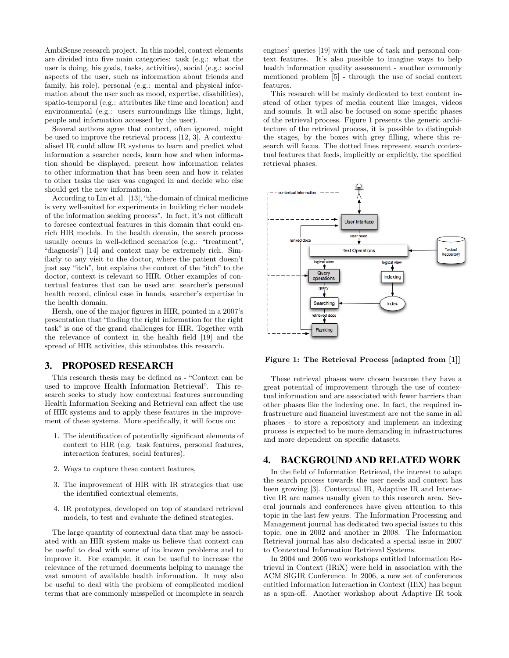AmbiSense research project. In this model, context elements are divided into five main categories: task (e.g.: what the user is doing, his goals, tasks, activities), social (e.g.: social aspects of the user, such as information about friends and family, his role), personal (e.g.: mental and physical information about the user such as mood, expertise, disabilities), spatio-temporal (e.g.: attributes like time and location) and environmental (e.g.: users surroundings like things, light, people and information accessed by the user).

Several authors agree that context, often ignored, might be used to improve the retrieval process [12, 3]. A contextualised IR could allow IR systems to learn and predict what information a searcher needs, learn how and when information should be displayed, present how information relates to other information that has been seen and how it relates to other tasks the user was engaged in and decide who else should get the new information.

According to Lin et al. [13], "the domain of clinical medicine is very well-suited for experiments in building richer models of the information seeking process". In fact, it's not difficult to foresee contextual features in this domain that could enrich HIR models. In the health domain, the search process usually occurs in well-defined scenarios (e.g.: "treatment", "diagnosis") [14] and context may be extremely rich. Similarly to any visit to the doctor, where the patient doesn't just say "itch", but explains the context of the "itch" to the doctor, context is relevant to HIR. Other examples of contextual features that can be used are: searcher's personal health record, clinical case in hands, searcher's expertise in the health domain.

Hersh, one of the major figures in HIR, pointed in a 2007's presentation that "finding the right information for the right task" is one of the grand challenges for HIR. Together with the relevance of context in the health field [19] and the spread of HIR activities, this stimulates this research.

#### 3. PROPOSED RESEARCH

This research thesis may be defined as - "Context can be used to improve Health Information Retrieval". This research seeks to study how contextual features surrounding Health Information Seeking and Retrieval can affect the use of HIR systems and to apply these features in the improvement of these systems. More specifically, it will focus on:

- 1. The identification of potentially significant elements of context to HIR (e.g. task features, personal features, interaction features, social features),
- 2. Ways to capture these context features,
- 3. The improvement of HIR with IR strategies that use the identified contextual elements,
- 4. IR prototypes, developed on top of standard retrieval models, to test and evaluate the defined strategies.

The large quantity of contextual data that may be associated with an HIR system make us believe that context can be useful to deal with some of its known problems and to improve it. For example, it can be useful to increase the relevance of the returned documents helping to manage the vast amount of available health information. It may also be useful to deal with the problem of complicated medical terms that are commonly misspelled or incomplete in search engines' queries [19] with the use of task and personal context features. It's also possible to imagine ways to help health information quality assessment - another commonly mentioned problem [5] - through the use of social context features.

This research will be mainly dedicated to text content instead of other types of media content like images, videos and sounds. It will also be focused on some specific phases of the retrieval process. Figure 1 presents the generic architecture of the retrieval process, it is possible to distinguish the stages, by the boxes with grey filling, where this research will focus. The dotted lines represent search contextual features that feeds, implicitly or explicitly, the specified retrieval phases.



Figure 1: The Retrieval Process [adapted from [1]]

These retrieval phases were chosen because they have a great potential of improvement through the use of contextual information and are associated with fewer barriers than other phases like the indexing one. In fact, the required infrastructure and financial investment are not the same in all phases - to store a repository and implement an indexing process is expected to be more demanding in infrastructures and more dependent on specific datasets.

#### 4. BACKGROUND AND RELATED WORK

In the field of Information Retrieval, the interest to adapt the search process towards the user needs and context has been growing [3]. Contextual IR, Adaptive IR and Interactive IR are names usually given to this research area. Several journals and conferences have given attention to this topic in the last few years. The Information Processing and Management journal has dedicated two special issues to this topic, one in 2002 and another in 2008. The Information Retrieval journal has also dedicated a special issue in 2007 to Contextual Information Retrieval Systems.

In 2004 and 2005 two workshops entitled Information Retrieval in Context (IRiX) were held in association with the ACM SIGIR Conference. In 2006, a new set of conferences entitled Information Interaction in Context (IIiX) has begun as a spin-off. Another workshop about Adaptive IR took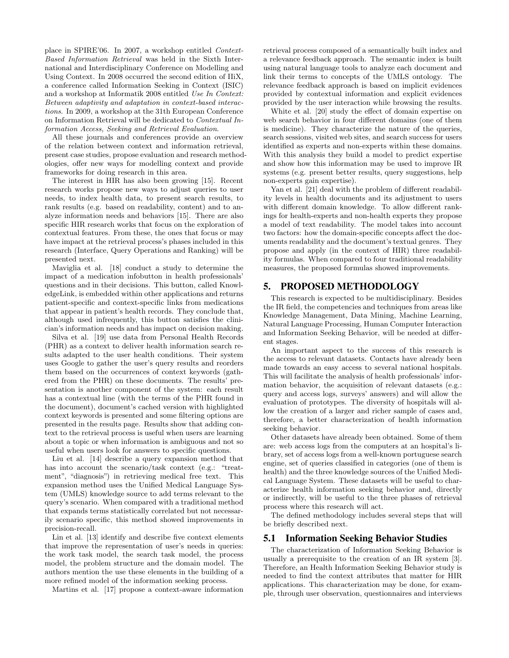place in SPIRE'06. In 2007, a workshop entitled Context-Based Information Retrieval was held in the Sixth International and Interdisciplinary Conference on Modelling and Using Context. In 2008 occurred the second edition of IIiX, a conference called Information Seeking in Context (ISIC) and a workshop at Informatik 2008 entitled Use In Context: Between adaptivity and adaptation in context-based interactions. In 2009, a workshop at the 31th European Conference on Information Retrieval will be dedicated to Contextual Information Access, Seeking and Retrieval Evaluation.

All these journals and conferences provide an overview of the relation between context and information retrieval, present case studies, propose evaluation and research methodologies, offer new ways for modelling context and provide frameworks for doing research in this area.

The interest in HIR has also been growing [15]. Recent research works propose new ways to adjust queries to user needs, to index health data, to present search results, to rank results (e.g. based on readability, content) and to analyze information needs and behaviors [15]. There are also specific HIR research works that focus on the exploration of contextual features. From these, the ones that focus or may have impact at the retrieval process's phases included in this research (Interface, Query Operations and Ranking) will be presented next.

Maviglia et al. [18] conduct a study to determine the impact of a medication infobutton in health professionals' questions and in their decisions. This button, called KnowledgeLink, is embedded within other applications and returns patient-specific and context-specific links from medications that appear in patient's health records. They conclude that, although used infrequently, this button satisfies the clinician's information needs and has impact on decision making.

Silva et al. [19] use data from Personal Health Records (PHR) as a context to deliver health information search results adapted to the user health conditions. Their system uses Google to gather the user's query results and reorders them based on the occurrences of context keywords (gathered from the PHR) on these documents. The results' presentation is another component of the system: each result has a contextual line (with the terms of the PHR found in the document), document's cached version with highlighted context keywords is presented and some filtering options are presented in the results page. Results show that adding context to the retrieval process is useful when users are learning about a topic or when information is ambiguous and not so useful when users look for answers to specific questions.

Liu et al. [14] describe a query expansion method that has into account the scenario/task context (e.g.: "treatment", "diagnosis") in retrieving medical free text. This expansion method uses the Unified Medical Language System (UMLS) knowledge source to add terms relevant to the query's scenario. When compared with a traditional method that expands terms statistically correlated but not necessarily scenario specific, this method showed improvements in precision-recall.

Lin et al. [13] identify and describe five context elements that improve the representation of user's needs in queries: the work task model, the search task model, the process model, the problem structure and the domain model. The authors mention the use these elements in the building of a more refined model of the information seeking process.

Martins et al. [17] propose a context-aware information

retrieval process composed of a semantically built index and a relevance feedback approach. The semantic index is built using natural language tools to analyze each document and link their terms to concepts of the UMLS ontology. The relevance feedback approach is based on implicit evidences provided by contextual information and explicit evidences provided by the user interaction while browsing the results.

White et al. [20] study the effect of domain expertise on web search behavior in four different domains (one of them is medicine). They characterize the nature of the queries, search sessions, visited web sites, and search success for users identified as experts and non-experts within these domains. With this analysis they build a model to predict expertise and show how this information may be used to improve IR systems (e.g. present better results, query suggestions, help non-experts gain expertise).

Yan et al. [21] deal with the problem of different readability levels in health documents and its adjustment to users with different domain knowledge. To allow different rankings for health-experts and non-health experts they propose a model of text readability. The model takes into account two factors: how the domain-specific concepts affect the documents readability and the document's textual genres. They propose and apply (in the context of HIR) three readability formulas. When compared to four traditional readability measures, the proposed formulas showed improvements.

## 5. PROPOSED METHODOLOGY

This research is expected to be multidisciplinary. Besides the IR field, the competencies and techniques from areas like Knowledge Management, Data Mining, Machine Learning, Natural Language Processing, Human Computer Interaction and Information Seeking Behavior, will be needed at different stages.

An important aspect to the success of this research is the access to relevant datasets. Contacts have already been made towards an easy access to several national hospitals. This will facilitate the analysis of health professionals' information behavior, the acquisition of relevant datasets (e.g.: query and access logs, surveys' answers) and will allow the evaluation of prototypes. The diversity of hospitals will allow the creation of a larger and richer sample of cases and, therefore, a better characterization of health information seeking behavior.

Other datasets have already been obtained. Some of them are: web access logs from the computers at an hospital's library, set of access logs from a well-known portuguese search engine, set of queries classified in categories (one of them is health) and the three knowledge sources of the Unified Medical Language System. These datasets will be useful to characterize health information seeking behavior and, directly or indirectly, will be useful to the three phases of retrieval process where this research will act.

The defined methodology includes several steps that will be briefly described next.

#### 5.1 Information Seeking Behavior Studies

The characterization of Information Seeking Behavior is usually a prerequisite to the creation of an IR system [3]. Therefore, an Health Information Seeking Behavior study is needed to find the context attributes that matter for HIR applications. This characterization may be done, for example, through user observation, questionnaires and interviews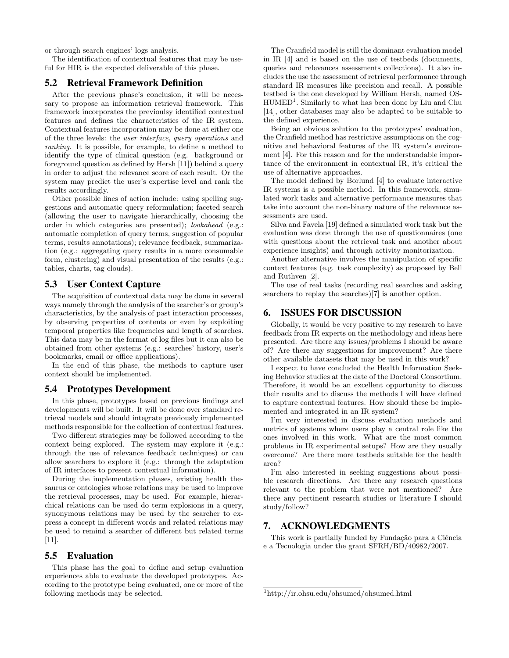or through search engines' logs analysis.

The identification of contextual features that may be useful for HIR is the expected deliverable of this phase.

#### 5.2 Retrieval Framework Definition

After the previous phase's conclusion, it will be necessary to propose an information retrieval framework. This framework incorporates the previoulsy identified contextual features and defines the characteristics of the IR system. Contextual features incorporation may be done at either one of the three levels: the user interface, query operations and ranking. It is possible, for example, to define a method to identify the type of clinical question (e.g. background or foreground question as defined by Hersh [11]) behind a query in order to adjust the relevance score of each result. Or the system may predict the user's expertise level and rank the results accordingly.

Other possible lines of action include: using spelling suggestions and automatic query reformulation; faceted search (allowing the user to navigate hierarchically, choosing the order in which categories are presented); lookahead (e.g.: automatic completion of query terms, suggestion of popular terms, results annotations); relevance feedback, summarization (e.g.: aggregating query results in a more consumable form, clustering) and visual presentation of the results (e.g.: tables, charts, tag clouds).

#### 5.3 User Context Capture

The acquisition of contextual data may be done in several ways namely through the analysis of the searcher's or group's characteristics, by the analysis of past interaction processes, by observing properties of contents or even by exploiting temporal properties like frequencies and length of searches. This data may be in the format of log files but it can also be obtained from other systems (e.g.: searches' history, user's bookmarks, email or office applications).

In the end of this phase, the methods to capture user context should be implemented.

#### 5.4 Prototypes Development

In this phase, prototypes based on previous findings and developments will be built. It will be done over standard retrieval models and should integrate previously implemented methods responsible for the collection of contextual features.

Two different strategies may be followed according to the context being explored. The system may explore it (e.g.: through the use of relevance feedback techniques) or can allow searchers to explore it (e.g.: through the adaptation of IR interfaces to present contextual information).

During the implementation phases, existing health thesaurus or ontologies whose relations may be used to improve the retrieval processes, may be used. For example, hierarchical relations can be used do term explosions in a query, synonymous relations may be used by the searcher to express a concept in different words and related relations may be used to remind a searcher of different but related terms [11].

## 5.5 Evaluation

This phase has the goal to define and setup evaluation experiences able to evaluate the developed prototypes. According to the prototype being evaluated, one or more of the following methods may be selected.

The Cranfield model is still the dominant evaluation model in IR [4] and is based on the use of testbeds (documents, queries and relevances assessments collections). It also includes the use the assessment of retrieval performance through standard IR measures like precision and recall. A possible testbed is the one developed by William Hersh, named OS-HUMED<sup>1</sup>. Similarly to what has been done by Liu and Chu [14], other databases may also be adapted to be suitable to the defined experience.

Being an obvious solution to the prototypes' evaluation, the Cranfield method has restrictive assumptions on the cognitive and behavioral features of the IR system's environment [4]. For this reason and for the understandable importance of the environment in contextual IR, it's critical the use of alternative approaches.

The model defined by Borlund [4] to evaluate interactive IR systems is a possible method. In this framework, simulated work tasks and alternative performance measures that take into account the non-binary nature of the relevance assessments are used.

Silva and Favela [19] defined a simulated work task but the evaluation was done through the use of questionnaires (one with questions about the retrieval task and another about experience insights) and through activity monitorization.

Another alternative involves the manipulation of specific context features (e.g. task complexity) as proposed by Bell and Ruthven [2].

The use of real tasks (recording real searches and asking searchers to replay the searches)[7] is another option.

# 6. ISSUES FOR DISCUSSION

Globally, it would be very positive to my research to have feedback from IR experts on the methodology and ideas here presented. Are there any issues/problems I should be aware of? Are there any suggestions for improvement? Are there other available datasets that may be used in this work?

I expect to have concluded the Health Information Seeking Behavior studies at the date of the Doctoral Consortium. Therefore, it would be an excellent opportunity to discuss their results and to discuss the methods I will have defined to capture contextual features. How should these be implemented and integrated in an IR system?

I'm very interested in discuss evaluation methods and metrics of systems where users play a central role like the ones involved in this work. What are the most common problems in IR experimental setups? How are they usually overcome? Are there more testbeds suitable for the health area?

I'm also interested in seeking suggestions about possible research directions. Are there any research questions relevant to the problem that were not mentioned? Are there any pertinent research studies or literature I should study/follow?

## 7. ACKNOWLEDGMENTS

This work is partially funded by Fundação para a Ciência e a Tecnologia under the grant SFRH/BD/40982/2007.

<sup>1</sup>http://ir.ohsu.edu/ohsumed/ohsumed.html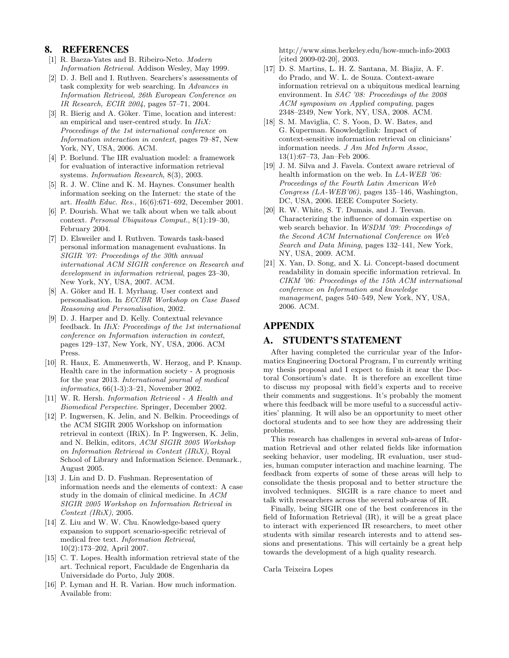# 8. REFERENCES

- [1] R. Baeza-Yates and B. Ribeiro-Neto. Modern Information Retrieval. Addison Wesley, May 1999.
- [2] D. J. Bell and I. Ruthven. Searchers's assessments of task complexity for web searching. In Advances in Information Retrieval, 26th European Conference on IR Research, ECIR 2004, pages 57–71, 2004.
- [3] R. Bierig and A. Göker. Time, location and interest: an empirical and user-centred study. In  $IIiX$ : Proceedings of the 1st international conference on Information interaction in context, pages 79–87, New York, NY, USA, 2006. ACM.
- [4] P. Borlund. The IIR evaluation model: a framework for evaluation of interactive information retrieval systems. Information Research, 8(3), 2003.
- [5] R. J. W. Cline and K. M. Haynes. Consumer health information seeking on the Internet: the state of the art. Health Educ. Res., 16(6):671–692, December 2001.
- [6] P. Dourish. What we talk about when we talk about context. Personal Ubiquitous Comput., 8(1):19–30, February 2004.
- [7] D. Elsweiler and I. Ruthven. Towards task-based personal information management evaluations. In SIGIR '07: Proceedings of the 30th annual international ACM SIGIR conference on Research and development in information retrieval, pages 23–30, New York, NY, USA, 2007. ACM.
- [8] A. Göker and H. I. Myrhaug. User context and personalisation. In ECCBR Workshop on Case Based Reasoning and Personalisation, 2002.
- [9] D. J. Harper and D. Kelly. Contextual relevance feedback. In IIiX: Proceedings of the 1st international conference on Information interaction in context, pages 129–137, New York, NY, USA, 2006. ACM Press.
- [10] R. Haux, E. Ammenwerth, W. Herzog, and P. Knaup. Health care in the information society - A prognosis for the year 2013. International journal of medical informatics, 66(1-3):3–21, November 2002.
- [11] W. R. Hersh. Information Retrieval A Health and Biomedical Perspective. Springer, December 2002.
- [12] P. Ingwersen, K. Jelin, and N. Belkin. Proceedings of the ACM SIGIR 2005 Workshop on information retrieval in context (IRiX). In P. Ingwersen, K. Jelin, and N. Belkin, editors, ACM SIGIR 2005 Workshop on Information Retrieval in Context (IRiX), Royal School of Library and Information Science. Denmark., August 2005.
- [13] J. Lin and D. D. Fushman. Representation of information needs and the elements of context: A case study in the domain of clinical medicine. In ACM SIGIR 2005 Workshop on Information Retrieval in  $Context$  (IRiX), 2005.
- [14] Z. Liu and W. W. Chu. Knowledge-based query expansion to support scenario-specific retrieval of medical free text. Information Retrieval, 10(2):173–202, April 2007.
- [15] C. T. Lopes. Health information retrieval state of the art. Technical report, Faculdade de Engenharia da Universidade do Porto, July 2008.
- [16] P. Lyman and H. R. Varian. How much information. Available from:

http://www.sims.berkeley.edu/how-much-info-2003 [cited 2009-02-20], 2003.

- [17] D. S. Martins, L. H. Z. Santana, M. Biajiz, A. F. do Prado, and W. L. de Souza. Context-aware information retrieval on a ubiquitous medical learning environment. In SAC '08: Proceedings of the 2008 ACM symposium on Applied computing, pages 2348–2349, New York, NY, USA, 2008. ACM.
- [18] S. M. Maviglia, C. S. Yoon, D. W. Bates, and G. Kuperman. Knowledgelink: Impact of context-sensitive information retrieval on clinicians' information needs. J Am Med Inform Assoc, 13(1):67–73, Jan–Feb 2006.
- [19] J. M. Silva and J. Favela. Context aware retrieval of health information on the web. In LA-WEB '06: Proceedings of the Fourth Latin American Web Congress (LA-WEB'06), pages 135-146, Washington, DC, USA, 2006. IEEE Computer Society.
- [20] R. W. White, S. T. Dumais, and J. Teevan. Characterizing the influence of domain expertise on web search behavior. In WSDM '09: Proceedings of the Second ACM International Conference on Web Search and Data Mining, pages 132–141, New York, NY, USA, 2009. ACM.
- [21] X. Yan, D. Song, and X. Li. Concept-based document readability in domain specific information retrieval. In CIKM '06: Proceedings of the 15th ACM international conference on Information and knowledge management, pages 540–549, New York, NY, USA, 2006. ACM.

# APPENDIX

# A. STUDENT'S STATEMENT

After having completed the curricular year of the Informatics Engineering Doctoral Program, I'm currently writing my thesis proposal and I expect to finish it near the Doctoral Consortium's date. It is therefore an excellent time to discuss my proposal with field's experts and to receive their comments and suggestions. It's probably the moment where this feedback will be more useful to a successful activities' planning. It will also be an opportunity to meet other doctoral students and to see how they are addressing their problems.

This research has challenges in several sub-areas of Information Retrieval and other related fields like information seeking behavior, user modeling, IR evaluation, user studies, human computer interaction and machine learning. The feedback from experts of some of these areas will help to consolidate the thesis proposal and to better structure the involved techniques. SIGIR is a rare chance to meet and talk with researchers across the several sub-areas of IR.

Finally, being SIGIR one of the best conferences in the field of Information Retrieval (IR), it will be a great place to interact with experienced IR researchers, to meet other students with similar research interests and to attend sessions and presentations. This will certainly be a great help towards the development of a high quality research.

Carla Teixeira Lopes